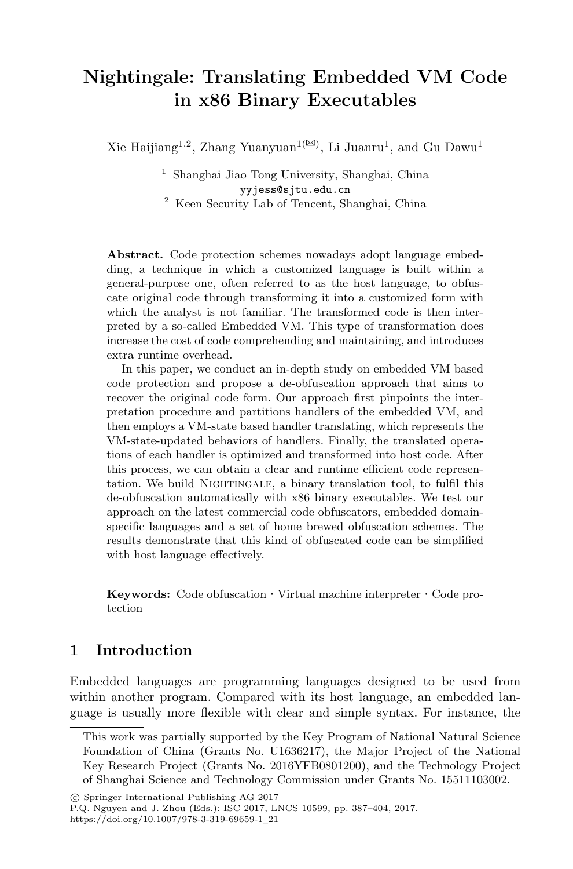# **Nightingale: Translating Embedded VM Code in x86 Binary Executables**

Xie Haijiang<br/> $^{1,2},$ Zhang Yuanyuan $^{1(\boxtimes)},$  Li Juan<br/>ru $^{1},$  and Gu Dawu $^{1}$ 

<sup>1</sup> Shanghai Jiao Tong University, Shanghai, China yyjess@sjtu.edu.cn <sup>2</sup> Keen Security Lab of Tencent, Shanghai, China

**Abstract.** Code protection schemes nowadays adopt language embedding, a technique in which a customized language is built within a general-purpose one, often referred to as the host language, to obfuscate original code through transforming it into a customized form with which the analyst is not familiar. The transformed code is then interpreted by a so-called Embedded VM. This type of transformation does increase the cost of code comprehending and maintaining, and introduces extra runtime overhead.

In this paper, we conduct an in-depth study on embedded VM based code protection and propose a de-obfuscation approach that aims to recover the original code form. Our approach first pinpoints the interpretation procedure and partitions handlers of the embedded VM, and then employs a VM-state based handler translating, which represents the VM-state-updated behaviors of handlers. Finally, the translated operations of each handler is optimized and transformed into host code. After this process, we can obtain a clear and runtime efficient code representation. We build NIGHTINGALE, a binary translation tool, to fulfil this de-obfuscation automatically with x86 binary executables. We test our approach on the latest commercial code obfuscators, embedded domainspecific languages and a set of home brewed obfuscation schemes. The results demonstrate that this kind of obfuscated code can be simplified with host language effectively.

**Keywords:** Code obfuscation *·* Virtual machine interpreter *·* Code protection

# **1 Introduction**

Embedded languages are programming languages designed to be used from within another program. Compared with its host language, an embedded language is usually more flexible with clear and simple syntax. For instance, the

-c Springer International Publishing AG 2017

P.Q. Nguyen and J. Zhou (Eds.): ISC 2017, LNCS 10599, pp. 387–404, 2017. https://doi.org/10.1007/978-3-319-69659-1\_21

This work was partially supported by the Key Program of National Natural Science Foundation of China (Grants No. U1636217), the Major Project of the National Key Research Project (Grants No. 2016YFB0801200), and the Technology Project of Shanghai Science and Technology Commission under Grants No. 15511103002.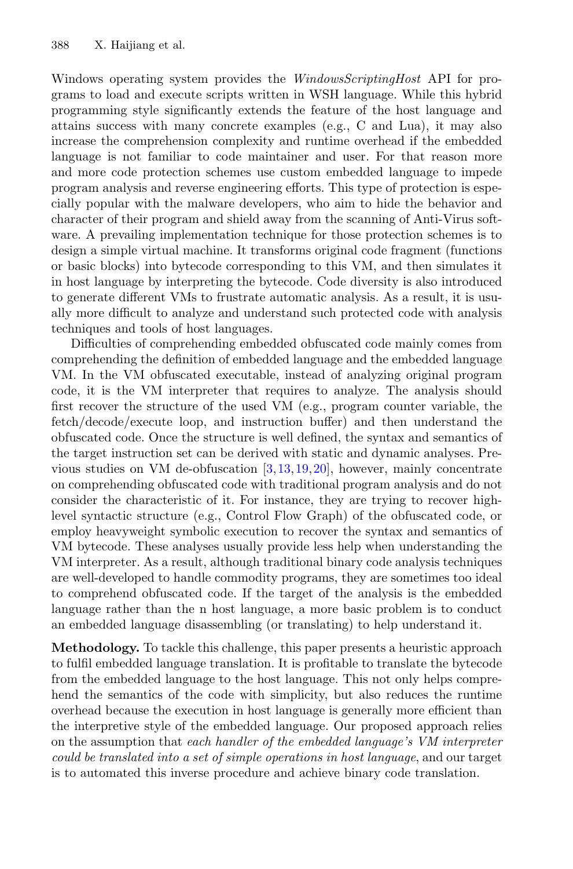Windows operating system provides the *WindowsScriptingHost* API for programs to load and execute scripts written in WSH language. While this hybrid programming style significantly extends the feature of the host language and attains success with many concrete examples (e.g., C and Lua), it may also increase the comprehension complexity and runtime overhead if the embedded language is not familiar to code maintainer and user. For that reason more and more code protection schemes use custom embedded language to impede program analysis and reverse engineering efforts. This type of protection is especially popular with the malware developers, who aim to hide the behavior and character of their program and shield away from the scanning of Anti-Virus software. A prevailing implementation technique for those protection schemes is to design a simple virtual machine. It transforms original code fragment (functions or basic blocks) into bytecode corresponding to this VM, and then simulates it in host language by interpreting the bytecode. Code diversity is also introduced to generate different VMs to frustrate automatic analysis. As a result, it is usually more difficult to analyze and understand such protected code with analysis techniques and tools of host languages.

Difficulties of comprehending embedded obfuscated code mainly comes from comprehending the definition of embedded language and the embedded language VM. In the VM obfuscated executable, instead of analyzing original program code, it is the VM interpreter that requires to analyze. The analysis should first recover the structure of the used VM (e.g., program counter variable, the fetch/decode/execute loop, and instruction buffer) and then understand the obfuscated code. Once the structure is well defined, the syntax and semantics of the target instruction set can be derived with static and dynamic analyses. Previous studies on VM de-obfuscation [\[3](#page-17-0)[,13](#page-17-1),[19,](#page-17-2)[20](#page-17-3)], however, mainly concentrate on comprehending obfuscated code with traditional program analysis and do not consider the characteristic of it. For instance, they are trying to recover highlevel syntactic structure (e.g., Control Flow Graph) of the obfuscated code, or employ heavyweight symbolic execution to recover the syntax and semantics of VM bytecode. These analyses usually provide less help when understanding the VM interpreter. As a result, although traditional binary code analysis techniques are well-developed to handle commodity programs, they are sometimes too ideal to comprehend obfuscated code. If the target of the analysis is the embedded language rather than the n host language, a more basic problem is to conduct an embedded language disassembling (or translating) to help understand it.

**Methodology.** To tackle this challenge, this paper presents a heuristic approach to fulfil embedded language translation. It is profitable to translate the bytecode from the embedded language to the host language. This not only helps comprehend the semantics of the code with simplicity, but also reduces the runtime overhead because the execution in host language is generally more efficient than the interpretive style of the embedded language. Our proposed approach relies on the assumption that *each handler of the embedded language's VM interpreter could be translated into a set of simple operations in host language*, and our target is to automated this inverse procedure and achieve binary code translation.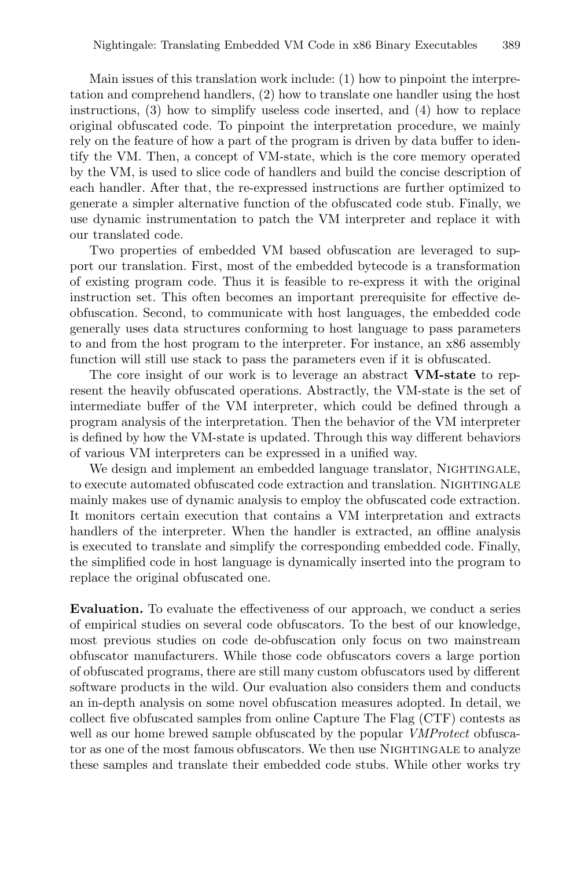Main issues of this translation work include: (1) how to pinpoint the interpretation and comprehend handlers, (2) how to translate one handler using the host instructions, (3) how to simplify useless code inserted, and (4) how to replace original obfuscated code. To pinpoint the interpretation procedure, we mainly rely on the feature of how a part of the program is driven by data buffer to identify the VM. Then, a concept of VM-state, which is the core memory operated by the VM, is used to slice code of handlers and build the concise description of each handler. After that, the re-expressed instructions are further optimized to generate a simpler alternative function of the obfuscated code stub. Finally, we use dynamic instrumentation to patch the VM interpreter and replace it with our translated code.

Two properties of embedded VM based obfuscation are leveraged to support our translation. First, most of the embedded bytecode is a transformation of existing program code. Thus it is feasible to re-express it with the original instruction set. This often becomes an important prerequisite for effective deobfuscation. Second, to communicate with host languages, the embedded code generally uses data structures conforming to host language to pass parameters to and from the host program to the interpreter. For instance, an x86 assembly function will still use stack to pass the parameters even if it is obfuscated.

The core insight of our work is to leverage an abstract **VM-state** to represent the heavily obfuscated operations. Abstractly, the VM-state is the set of intermediate buffer of the VM interpreter, which could be defined through a program analysis of the interpretation. Then the behavior of the VM interpreter is defined by how the VM-state is updated. Through this way different behaviors of various VM interpreters can be expressed in a unified way.

We design and implement an embedded language translator, NIGHTINGALE, to execute automated obfuscated code extraction and translation. NIGHTINGALE mainly makes use of dynamic analysis to employ the obfuscated code extraction. It monitors certain execution that contains a VM interpretation and extracts handlers of the interpreter. When the handler is extracted, an offline analysis is executed to translate and simplify the corresponding embedded code. Finally, the simplified code in host language is dynamically inserted into the program to replace the original obfuscated one.

**Evaluation.** To evaluate the effectiveness of our approach, we conduct a series of empirical studies on several code obfuscators. To the best of our knowledge, most previous studies on code de-obfuscation only focus on two mainstream obfuscator manufacturers. While those code obfuscators covers a large portion of obfuscated programs, there are still many custom obfuscators used by different software products in the wild. Our evaluation also considers them and conducts an in-depth analysis on some novel obfuscation measures adopted. In detail, we collect five obfuscated samples from online Capture The Flag (CTF) contests as well as our home brewed sample obfuscated by the popular *VMProtect* obfuscator as one of the most famous obfuscators. We then use NIGHTINGALE to analyze these samples and translate their embedded code stubs. While other works try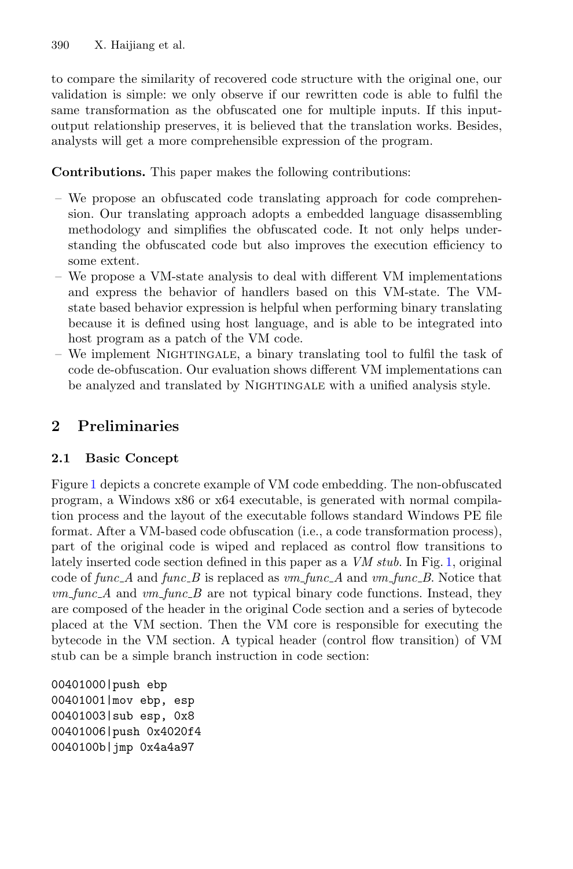to compare the similarity of recovered code structure with the original one, our validation is simple: we only observe if our rewritten code is able to fulfil the same transformation as the obfuscated one for multiple inputs. If this inputoutput relationship preserves, it is believed that the translation works. Besides, analysts will get a more comprehensible expression of the program.

**Contributions.** This paper makes the following contributions:

- We propose an obfuscated code translating approach for code comprehension. Our translating approach adopts a embedded language disassembling methodology and simplifies the obfuscated code. It not only helps understanding the obfuscated code but also improves the execution efficiency to some extent.
- We propose a VM-state analysis to deal with different VM implementations and express the behavior of handlers based on this VM-state. The VMstate based behavior expression is helpful when performing binary translating because it is defined using host language, and is able to be integrated into host program as a patch of the VM code.
- We implement Nightingale, a binary translating tool to fulfil the task of code de-obfuscation. Our evaluation shows different VM implementations can be analyzed and translated by NIGHTINGALE with a unified analysis style.

# **2 Preliminaries**

## **2.1 Basic Concept**

Figure [1](#page-4-0) depicts a concrete example of VM code embedding. The non-obfuscated program, a Windows x86 or x64 executable, is generated with normal compilation process and the layout of the executable follows standard Windows PE file format. After a VM-based code obfuscation (i.e., a code transformation process), part of the original code is wiped and replaced as control flow transitions to lately inserted code section defined in this paper as a *VM stub*. In Fig. [1,](#page-4-0) original code of *func A* and *func B* is replaced as *vm func A* and *vm func B*. Notice that *vm func A* and *vm func B* are not typical binary code functions. Instead, they are composed of the header in the original Code section and a series of bytecode placed at the VM section. Then the VM core is responsible for executing the bytecode in the VM section. A typical header (control flow transition) of VM stub can be a simple branch instruction in code section:

00401000|push ebp<br>00401001|mov ebp, esp 00401003 | sub esp, 0x8 00401006 | push 0x4020f4  $0040100b$  imp.  $0x424297$  $\frac{1}{\sqrt{2}}$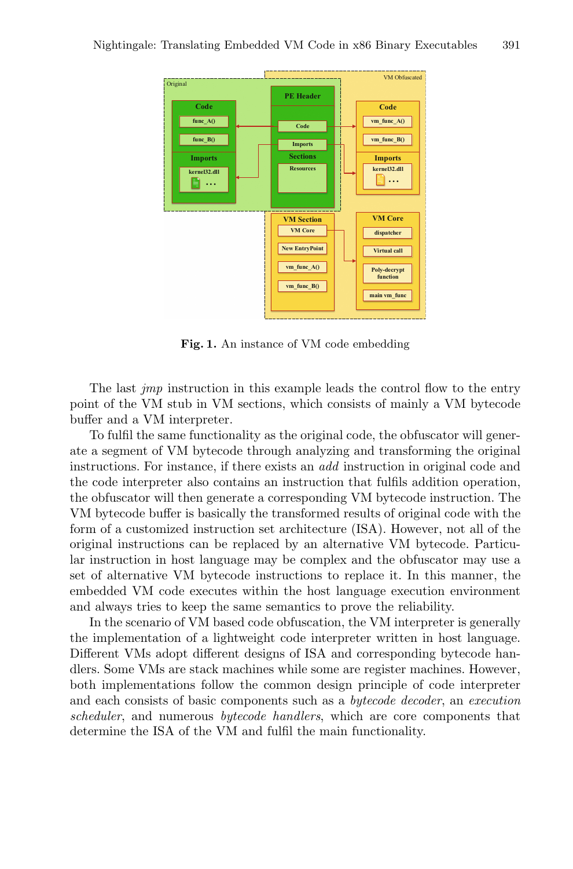

<span id="page-4-0"></span>**Fig. 1.** An instance of VM code embedding

The last *jmp* instruction in this example leads the control flow to the entry point of the VM stub in VM sections, which consists of mainly a VM bytecode buffer and a VM interpreter.

To fulfil the same functionality as the original code, the obfuscator will generate a segment of VM bytecode through analyzing and transforming the original instructions. For instance, if there exists an *add* instruction in original code and the code interpreter also contains an instruction that fulfils addition operation, the obfuscator will then generate a corresponding VM bytecode instruction. The VM bytecode buffer is basically the transformed results of original code with the form of a customized instruction set architecture (ISA). However, not all of the original instructions can be replaced by an alternative VM bytecode. Particular instruction in host language may be complex and the obfuscator may use a set of alternative VM bytecode instructions to replace it. In this manner, the embedded VM code executes within the host language execution environment and always tries to keep the same semantics to prove the reliability.

In the scenario of VM based code obfuscation, the VM interpreter is generally the implementation of a lightweight code interpreter written in host language. Different VMs adopt different designs of ISA and corresponding bytecode handlers. Some VMs are stack machines while some are register machines. However, both implementations follow the common design principle of code interpreter and each consists of basic components such as a *bytecode decoder*, an *execution scheduler*, and numerous *bytecode handlers*, which are core components that determine the ISA of the VM and fulfil the main functionality.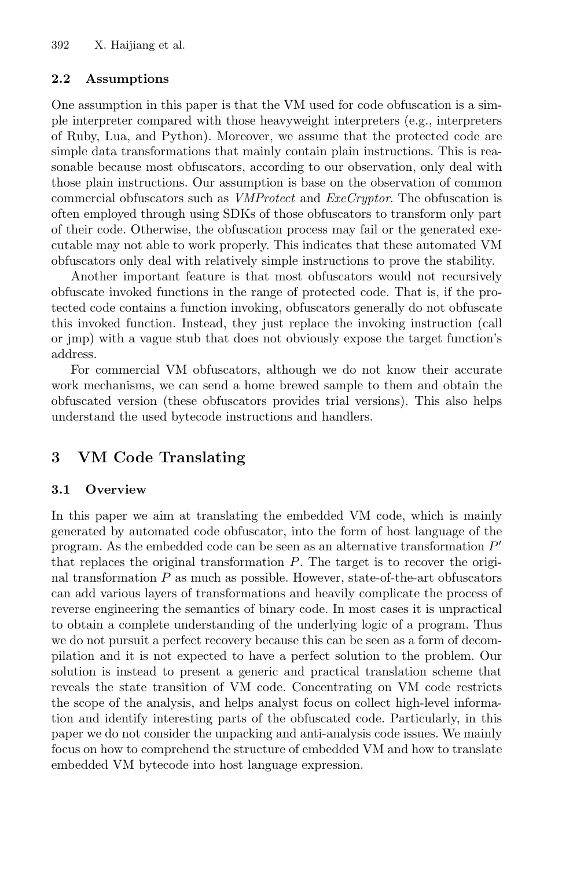### **2.2 Assumptions**

One assumption in this paper is that the VM used for code obfuscation is a simple interpreter compared with those heavyweight interpreters (e.g., interpreters of Ruby, Lua, and Python). Moreover, we assume that the protected code are simple data transformations that mainly contain plain instructions. This is reasonable because most obfuscators, according to our observation, only deal with those plain instructions. Our assumption is base on the observation of common commercial obfuscators such as *VMProtect* and *ExeCryptor*. The obfuscation is often employed through using SDKs of those obfuscators to transform only part of their code. Otherwise, the obfuscation process may fail or the generated executable may not able to work properly. This indicates that these automated VM obfuscators only deal with relatively simple instructions to prove the stability.

Another important feature is that most obfuscators would not recursively obfuscate invoked functions in the range of protected code. That is, if the protected code contains a function invoking, obfuscators generally do not obfuscate this invoked function. Instead, they just replace the invoking instruction (call or jmp) with a vague stub that does not obviously expose the target function's address.

For commercial VM obfuscators, although we do not know their accurate work mechanisms, we can send a home brewed sample to them and obtain the obfuscated version (these obfuscators provides trial versions). This also helps understand the used bytecode instructions and handlers.

# **3 VM Code Translating**

### **3.1 Overview**

In this paper we aim at translating the embedded VM code, which is mainly generated by automated code obfuscator, into the form of host language of the program. As the embedded code can be seen as an alternative transformation *P* that replaces the original transformation *P*. The target is to recover the original transformation *P* as much as possible. However, state-of-the-art obfuscators can add various layers of transformations and heavily complicate the process of reverse engineering the semantics of binary code. In most cases it is unpractical to obtain a complete understanding of the underlying logic of a program. Thus we do not pursuit a perfect recovery because this can be seen as a form of decompilation and it is not expected to have a perfect solution to the problem. Our solution is instead to present a generic and practical translation scheme that reveals the state transition of VM code. Concentrating on VM code restricts the scope of the analysis, and helps analyst focus on collect high-level information and identify interesting parts of the obfuscated code. Particularly, in this paper we do not consider the unpacking and anti-analysis code issues. We mainly focus on how to comprehend the structure of embedded VM and how to translate embedded VM bytecode into host language expression.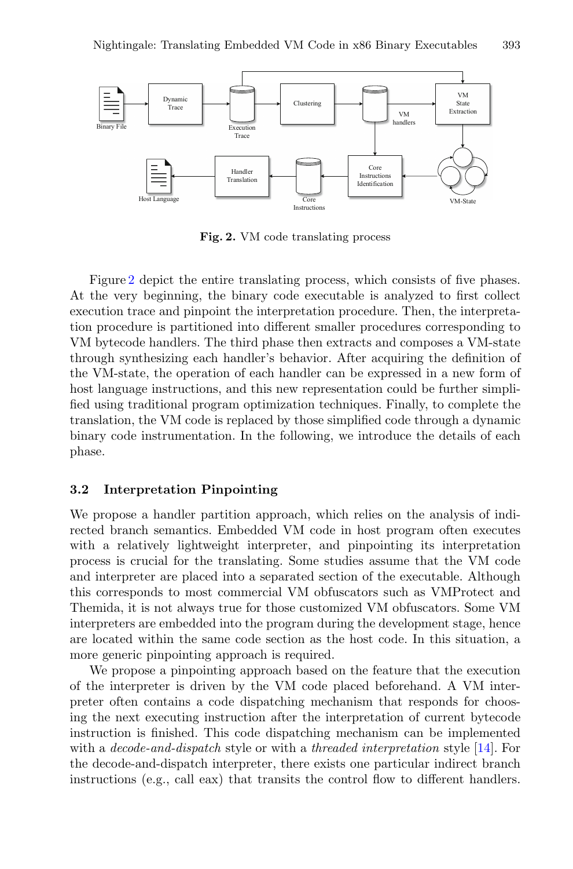

<span id="page-6-0"></span>**Fig. 2.** VM code translating process

Figure [2](#page-6-0) depict the entire translating process, which consists of five phases. At the very beginning, the binary code executable is analyzed to first collect execution trace and pinpoint the interpretation procedure. Then, the interpretation procedure is partitioned into different smaller procedures corresponding to VM bytecode handlers. The third phase then extracts and composes a VM-state through synthesizing each handler's behavior. After acquiring the definition of the VM-state, the operation of each handler can be expressed in a new form of host language instructions, and this new representation could be further simplified using traditional program optimization techniques. Finally, to complete the translation, the VM code is replaced by those simplified code through a dynamic binary code instrumentation. In the following, we introduce the details of each phase.

#### <span id="page-6-1"></span>**3.2 Interpretation Pinpointing**

We propose a handler partition approach, which relies on the analysis of indirected branch semantics. Embedded VM code in host program often executes with a relatively lightweight interpreter, and pinpointing its interpretation process is crucial for the translating. Some studies assume that the VM code and interpreter are placed into a separated section of the executable. Although this corresponds to most commercial VM obfuscators such as VMProtect and Themida, it is not always true for those customized VM obfuscators. Some VM interpreters are embedded into the program during the development stage, hence are located within the same code section as the host code. In this situation, a more generic pinpointing approach is required.

We propose a pinpointing approach based on the feature that the execution of the interpreter is driven by the VM code placed beforehand. A VM interpreter often contains a code dispatching mechanism that responds for choosing the next executing instruction after the interpretation of current bytecode instruction is finished. This code dispatching mechanism can be implemented with a *decode-and-dispatch* style or with a *threaded interpretation* style [\[14](#page-17-4)]. For the decode-and-dispatch interpreter, there exists one particular indirect branch instructions (e.g., call eax) that transits the control flow to different handlers.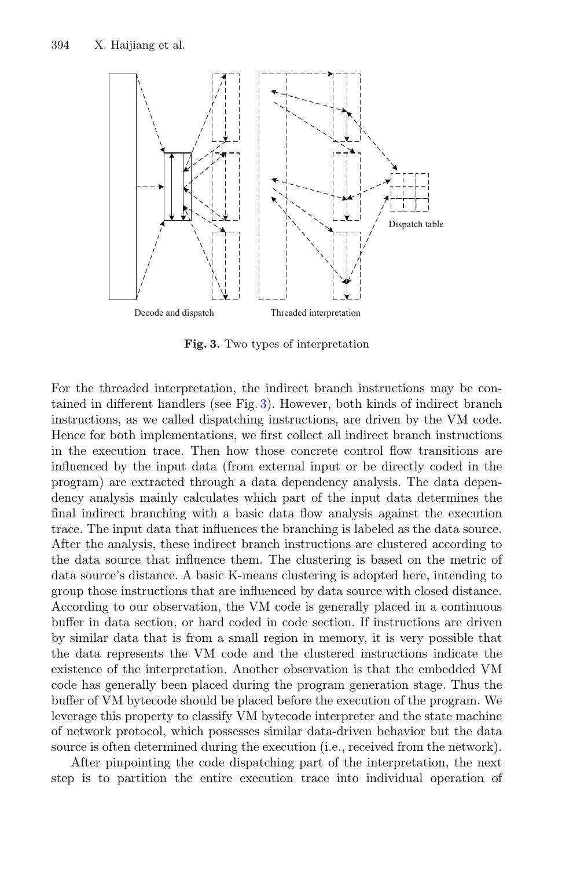

<span id="page-7-0"></span>**Fig. 3.** Two types of interpretation

For the threaded interpretation, the indirect branch instructions may be contained in different handlers (see Fig. [3\)](#page-7-0). However, both kinds of indirect branch instructions, as we called dispatching instructions, are driven by the VM code. Hence for both implementations, we first collect all indirect branch instructions in the execution trace. Then how those concrete control flow transitions are influenced by the input data (from external input or be directly coded in the program) are extracted through a data dependency analysis. The data dependency analysis mainly calculates which part of the input data determines the final indirect branching with a basic data flow analysis against the execution trace. The input data that influences the branching is labeled as the data source. After the analysis, these indirect branch instructions are clustered according to the data source that influence them. The clustering is based on the metric of data source's distance. A basic K-means clustering is adopted here, intending to group those instructions that are influenced by data source with closed distance. According to our observation, the VM code is generally placed in a continuous buffer in data section, or hard coded in code section. If instructions are driven by similar data that is from a small region in memory, it is very possible that the data represents the VM code and the clustered instructions indicate the existence of the interpretation. Another observation is that the embedded VM code has generally been placed during the program generation stage. Thus the buffer of VM bytecode should be placed before the execution of the program. We leverage this property to classify VM bytecode interpreter and the state machine of network protocol, which possesses similar data-driven behavior but the data source is often determined during the execution (i.e., received from the network).

After pinpointing the code dispatching part of the interpretation, the next step is to partition the entire execution trace into individual operation of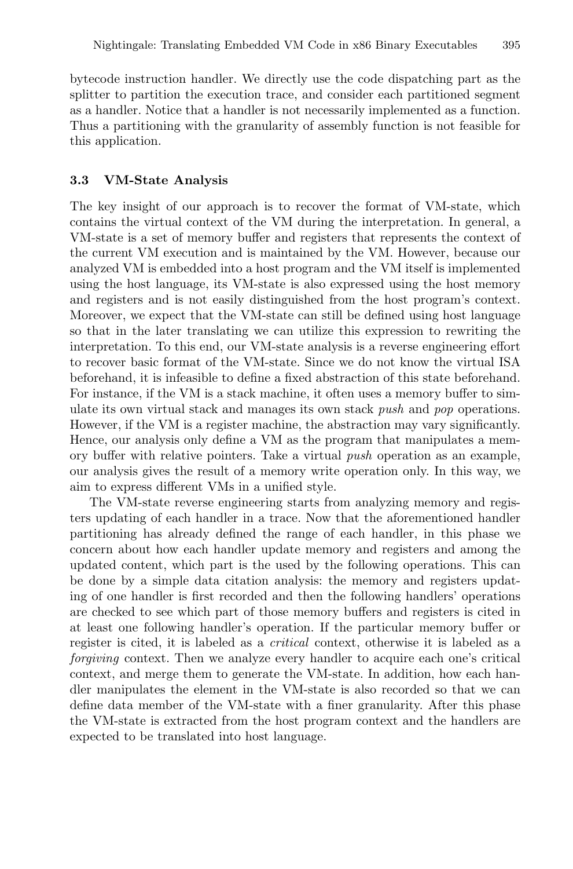bytecode instruction handler. We directly use the code dispatching part as the splitter to partition the execution trace, and consider each partitioned segment as a handler. Notice that a handler is not necessarily implemented as a function. Thus a partitioning with the granularity of assembly function is not feasible for this application.

#### <span id="page-8-0"></span>**3.3 VM-State Analysis**

The key insight of our approach is to recover the format of VM-state, which contains the virtual context of the VM during the interpretation. In general, a VM-state is a set of memory buffer and registers that represents the context of the current VM execution and is maintained by the VM. However, because our analyzed VM is embedded into a host program and the VM itself is implemented using the host language, its VM-state is also expressed using the host memory and registers and is not easily distinguished from the host program's context. Moreover, we expect that the VM-state can still be defined using host language so that in the later translating we can utilize this expression to rewriting the interpretation. To this end, our VM-state analysis is a reverse engineering effort to recover basic format of the VM-state. Since we do not know the virtual ISA beforehand, it is infeasible to define a fixed abstraction of this state beforehand. For instance, if the VM is a stack machine, it often uses a memory buffer to simulate its own virtual stack and manages its own stack *push* and *pop* operations. However, if the VM is a register machine, the abstraction may vary significantly. Hence, our analysis only define a VM as the program that manipulates a memory buffer with relative pointers. Take a virtual *push* operation as an example, our analysis gives the result of a memory write operation only. In this way, we aim to express different VMs in a unified style.

The VM-state reverse engineering starts from analyzing memory and registers updating of each handler in a trace. Now that the aforementioned handler partitioning has already defined the range of each handler, in this phase we concern about how each handler update memory and registers and among the updated content, which part is the used by the following operations. This can be done by a simple data citation analysis: the memory and registers updating of one handler is first recorded and then the following handlers' operations are checked to see which part of those memory buffers and registers is cited in at least one following handler's operation. If the particular memory buffer or register is cited, it is labeled as a *critical* context, otherwise it is labeled as a *forgiving* context. Then we analyze every handler to acquire each one's critical context, and merge them to generate the VM-state. In addition, how each handler manipulates the element in the VM-state is also recorded so that we can define data member of the VM-state with a finer granularity. After this phase the VM-state is extracted from the host program context and the handlers are expected to be translated into host language.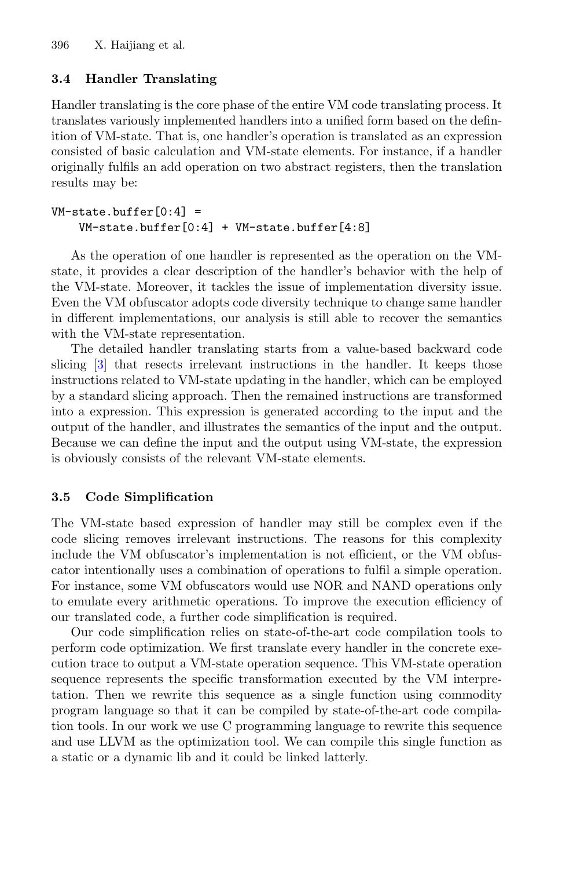### **3.4 Handler Translating**

Handler translating is the core phase of the entire VM code translating process. It translates variously implemented handlers into a unified form based on the definition of VM-state. That is, one handler's operation is translated as an expression consisted of basic calculation and VM-state elements. For instance, if a handler originally fulfils an add operation on two abstract registers, then the translation results may be:

# $VM$ -state.buffer $[0:4]$  =<br>WM-state.buffer $[0:4]$  + WM-state.buffer $[4:8]$  $V_{\rm eff} = 0.4$  ,  $V_{\rm eff} = 0.4$  ,  $V_{\rm eff} = 0.4$  ,  $V_{\rm eff} = 0.4$

As the operation of one handler is represented as the operation on the VMstate, it provides a clear description of the handler's behavior with the help of the VM-state. Moreover, it tackles the issue of implementation diversity issue. Even the VM obfuscator adopts code diversity technique to change same handler in different implementations, our analysis is still able to recover the semantics with the VM-state representation.

The detailed handler translating starts from a value-based backward code slicing [\[3\]](#page-17-0) that resects irrelevant instructions in the handler. It keeps those instructions related to VM-state updating in the handler, which can be employed by a standard slicing approach. Then the remained instructions are transformed into a expression. This expression is generated according to the input and the output of the handler, and illustrates the semantics of the input and the output. Because we can define the input and the output using VM-state, the expression is obviously consists of the relevant VM-state elements.

### **3.5 Code Simplification**

The VM-state based expression of handler may still be complex even if the code slicing removes irrelevant instructions. The reasons for this complexity include the VM obfuscator's implementation is not efficient, or the VM obfuscator intentionally uses a combination of operations to fulfil a simple operation. For instance, some VM obfuscators would use NOR and NAND operations only to emulate every arithmetic operations. To improve the execution efficiency of our translated code, a further code simplification is required.

Our code simplification relies on state-of-the-art code compilation tools to perform code optimization. We first translate every handler in the concrete execution trace to output a VM-state operation sequence. This VM-state operation sequence represents the specific transformation executed by the VM interpretation. Then we rewrite this sequence as a single function using commodity program language so that it can be compiled by state-of-the-art code compilation tools. In our work we use C programming language to rewrite this sequence and use LLVM as the optimization tool. We can compile this single function as a static or a dynamic lib and it could be linked latterly.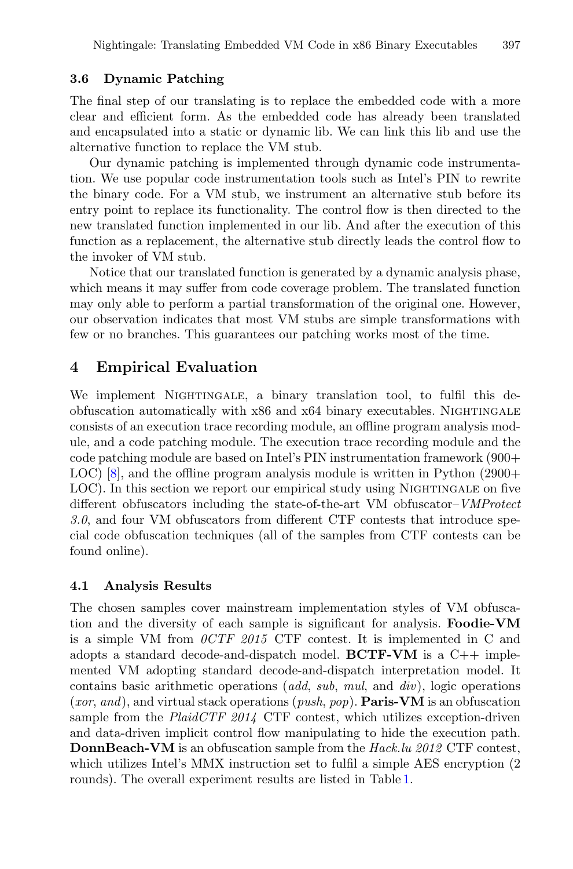### **3.6 Dynamic Patching**

The final step of our translating is to replace the embedded code with a more clear and efficient form. As the embedded code has already been translated and encapsulated into a static or dynamic lib. We can link this lib and use the alternative function to replace the VM stub.

Our dynamic patching is implemented through dynamic code instrumentation. We use popular code instrumentation tools such as Intel's PIN to rewrite the binary code. For a VM stub, we instrument an alternative stub before its entry point to replace its functionality. The control flow is then directed to the new translated function implemented in our lib. And after the execution of this function as a replacement, the alternative stub directly leads the control flow to the invoker of VM stub.

Notice that our translated function is generated by a dynamic analysis phase, which means it may suffer from code coverage problem. The translated function may only able to perform a partial transformation of the original one. However, our observation indicates that most VM stubs are simple transformations with few or no branches. This guarantees our patching works most of the time.

## **4 Empirical Evaluation**

We implement NIGHTINGALE, a binary translation tool, to fulfil this deobfuscation automatically with  $x86$  and  $x64$  binary executables. NIGHTINGALE consists of an execution trace recording module, an offline program analysis module, and a code patching module. The execution trace recording module and the code patching module are based on Intel's PIN instrumentation framework (900+ LOC) [\[8\]](#page-17-5), and the offline program analysis module is written in Python  $(2900+$ LOC). In this section we report our empirical study using NIGHTINGALE on five different obfuscators including the state-of-the-art VM obfuscator–*VMProtect 3.0*, and four VM obfuscators from different CTF contests that introduce special code obfuscation techniques (all of the samples from CTF contests can be found online).

### **4.1 Analysis Results**

The chosen samples cover mainstream implementation styles of VM obfuscation and the diversity of each sample is significant for analysis. **Foodie-VM** is a simple VM from *0CTF 2015* CTF contest. It is implemented in C and adopts a standard decode-and-dispatch model. **BCTF-VM** is a C++ implemented VM adopting standard decode-and-dispatch interpretation model. It contains basic arithmetic operations (*add*, *sub*, *mul*, and *div*), logic operations (*xor*, *and*), and virtual stack operations (*push*, *pop*). **Paris-VM** is an obfuscation sample from the *PlaidCTF 2014* CTF contest, which utilizes exception-driven and data-driven implicit control flow manipulating to hide the execution path. **DonnBeach-VM** is an obfuscation sample from the *Hack.lu 2012* CTF contest, which utilizes Intel's MMX instruction set to fulfil a simple AES encryption (2 rounds). The overall experiment results are listed in Table [1.](#page-11-0)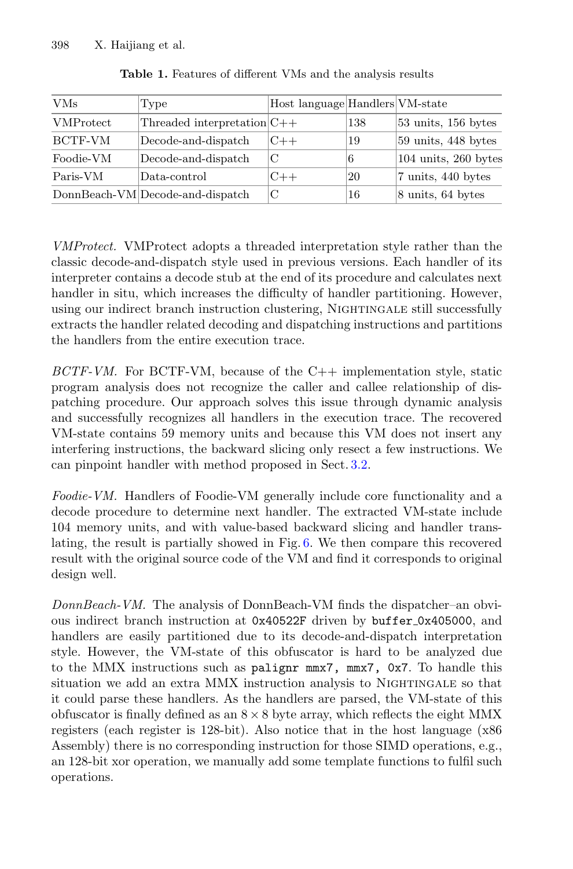<span id="page-11-0"></span>

| <b>VMs</b>       | Type                             | Host language Handlers VM-state |     |                                        |
|------------------|----------------------------------|---------------------------------|-----|----------------------------------------|
| <b>VMProtect</b> | $Threaded interpretationC++$     |                                 | 138 | $53$ units, 156 bytes                  |
| BCTF-VM          | Decode-and-dispatch              | $C++$                           | 19  | $59 \text{ units}, 448 \text{ bytes}$  |
| Foodie-VM        | Decode-and-dispatch              | С                               | 6   | $104 \text{ units}, 260 \text{ bytes}$ |
| Paris-VM         | Data-control                     | $C++$                           | 20  | 7 units, 440 bytes                     |
|                  | DonnBeach-VM Decode-and-dispatch |                                 | 16  | 8 units, 64 bytes                      |

**Table 1.** Features of different VMs and the analysis results

*VMProtect.* VMProtect adopts a threaded interpretation style rather than the classic decode-and-dispatch style used in previous versions. Each handler of its interpreter contains a decode stub at the end of its procedure and calculates next handler in situ, which increases the difficulty of handler partitioning. However, using our indirect branch instruction clustering, NIGHTINGALE still successfully extracts the handler related decoding and dispatching instructions and partitions the handlers from the entire execution trace.

 $BCTF-VM$ . For BCTF-VM, because of the  $C++$  implementation style, static program analysis does not recognize the caller and callee relationship of dispatching procedure. Our approach solves this issue through dynamic analysis and successfully recognizes all handlers in the execution trace. The recovered VM-state contains 59 memory units and because this VM does not insert any interfering instructions, the backward slicing only resect a few instructions. We can pinpoint handler with method proposed in Sect. [3.2.](#page-6-1)

*Foodie-VM.* Handlers of Foodie-VM generally include core functionality and a decode procedure to determine next handler. The extracted VM-state include 104 memory units, and with value-based backward slicing and handler translating, the result is partially showed in Fig. [6.](#page-14-0) We then compare this recovered result with the original source code of the VM and find it corresponds to original design well.

*DonnBeach-VM.* The analysis of DonnBeach-VM finds the dispatcher–an obvious indirect branch instruction at 0x40522F driven by buffer 0x405000, and handlers are easily partitioned due to its decode-and-dispatch interpretation style. However, the VM-state of this obfuscator is hard to be analyzed due to the MMX instructions such as palignr mmx7, mmx7, 0x7. To handle this situation we add an extra MMX instruction analysis to NIGHTINGALE so that it could parse these handlers. As the handlers are parsed, the VM-state of this obfuscator is finally defined as an 8 *×* 8 byte array, which reflects the eight MMX registers (each register is 128-bit). Also notice that in the host language (x86 Assembly) there is no corresponding instruction for those SIMD operations, e.g., an 128-bit xor operation, we manually add some template functions to fulfil such operations.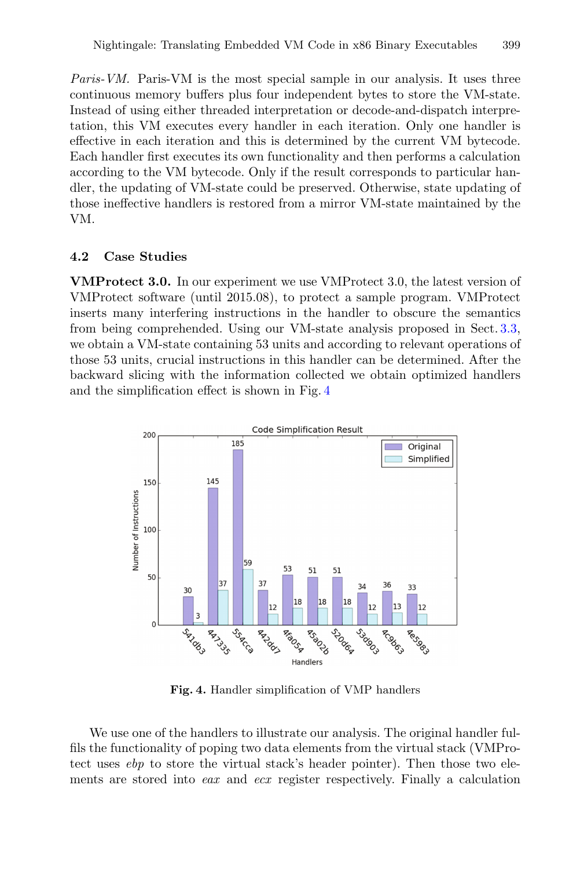*Paris-VM.* Paris-VM is the most special sample in our analysis. It uses three continuous memory buffers plus four independent bytes to store the VM-state. Instead of using either threaded interpretation or decode-and-dispatch interpretation, this VM executes every handler in each iteration. Only one handler is effective in each iteration and this is determined by the current VM bytecode. Each handler first executes its own functionality and then performs a calculation according to the VM bytecode. Only if the result corresponds to particular handler, the updating of VM-state could be preserved. Otherwise, state updating of those ineffective handlers is restored from a mirror VM-state maintained by the VM.

### **4.2 Case Studies**

**VMProtect 3.0.** In our experiment we use VMProtect 3.0, the latest version of VMProtect software (until 2015.08), to protect a sample program. VMProtect inserts many interfering instructions in the handler to obscure the semantics from being comprehended. Using our VM-state analysis proposed in Sect. [3.3,](#page-8-0) we obtain a VM-state containing 53 units and according to relevant operations of those 53 units, crucial instructions in this handler can be determined. After the backward slicing with the information collected we obtain optimized handlers and the simplification effect is shown in Fig. [4](#page-12-0)



<span id="page-12-0"></span>**Fig. 4.** Handler simplification of VMP handlers

We use one of the handlers to illustrate our analysis. The original handler fulfils the functionality of poping two data elements from the virtual stack (VMProtect uses *ebp* to store the virtual stack's header pointer). Then those two elements are stored into *eax* and *ecx* register respectively. Finally a calculation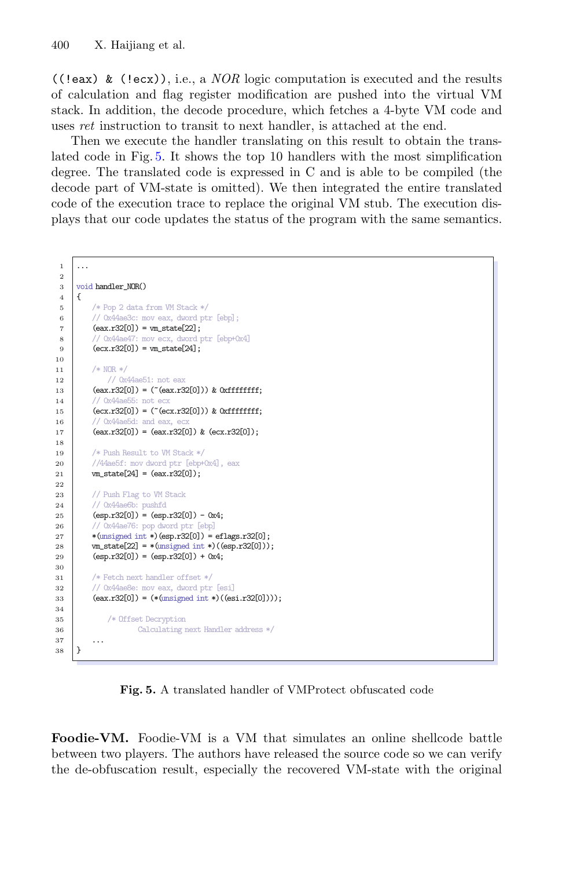((!eax)  $\&$  (!ecx)), i.e., a *NOR* logic computation is executed and the results of calculation and flag register modification are pushed into the virtual VM stack. In addition, the decode procedure, which fetches a 4-byte VM code and uses *ret* instruction to transit to next handler, is attached at the end.

Then we execute the handler translating on this result to obtain the translated code in Fig. [5.](#page-13-0) It shows the top 10 handlers with the most simplification degree. The translated code is expressed in C and is able to be compiled (the decode part of VM-state is omitted). We then integrated the entire translated code of the execution trace to replace the original VM stub. The execution displays that our code updates the status of the program with the same semantics.

```
1 \mid \ldots2
 3 void handler_NOR()
 \begin{array}{c} 4 \\ 5 \end{array} {
           /* Pop 2 data from VM Stack */
 6 // 0x^{4}4ae3c: mov eax, dword ptr [ebp];<br>
(92x)^{10} = (m \text{ state} 22].
           \frac{1}{2} (eax.r32[0]) = vm state[22];
 8 // 0x44ae47: mov ecx, dword ptr [ebp+0x4]
 9 (ecx.r32[0]) = \text{vm\_state}[24];10
11 /* NOR */
12 // 0x44ae51: not eax
13 (ear.r32[0]) = ("(ear.r32[0])) & 0xffffffff;14 // 0x44ae55: not ecx
15 \vert (ecx.r32[0]) = ("(ecx.r32[0])) & 0xffffffff;
16 // 0x44ae5d: and eax, ecx
17 (eax.r32[0]) = (eax.r32[0]) & (ecx.r32[0]);
18
19 /* Push Result to VM Stack */
20 //44ae5f: mov dword ptr [ebp+0x4], eax
21 \vert vm_state[24] = (eax.r32[0]);
22
23 // Push Flag to VM Stack
\begin{array}{|c|c|c|c|}\n 24 & // 0x44ae6b: pushfd<br/>\n25 & (esp.r32[0]) = (esp.(exp.r32[0]) = (esp.r32[0]) - 0x4;26 // 0x44ae76: pop dword ptr [ebp]<br>27 <br>
* (unsigned int *) (esp.r32[0]) =
           *(unsigned int *)(esp.r32[0]) = eflags.r32[0];
28 vm_state[22] = *(unsigned int *)((esp.r32[0]));<br>29 (esp.r32[0]) = (esp.r32[0]) + 0r4
           (exp.r32[0]) = (esp.r32[0]) + 0x4;30
31 /* Fetch next handler offset */<br>32 // 0x44ae8e: mov eax. dword ptr
\frac{32}{33} // 0x44ae8e: mov eax, dword ptr [esi]<br>\frac{33}{33} (eax.r32[0]) = (*(unsigned int *)((es
           (eax.r32[0]) = (*(unsigned int *)((esi.r32[0]))));
34
35 /* Offset Decryption
36 Calculating next Handler address */
\begin{array}{c|c}\n 37 \\
 38\n \end{array} ...
38 }
```
**Fig. 5.** A translated handler of VMProtect obfuscated code

<span id="page-13-0"></span>**Foodie-VM.** Foodie-VM is a VM that simulates an online shellcode battle between two players. The authors have released the source code so we can verify the de-obfuscation result, especially the recovered VM-state with the original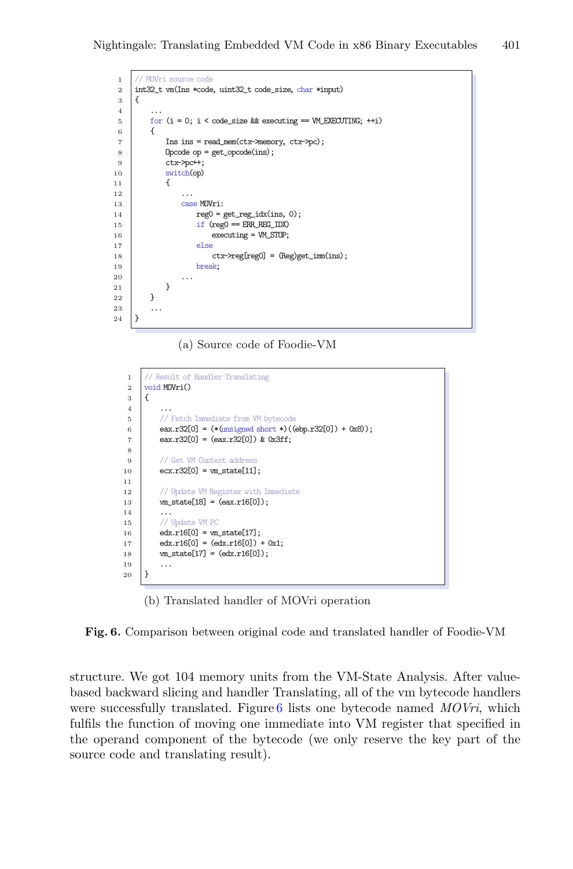```
\frac{1}{2} // MOVri source code<br>\frac{1}{2} int32 t vm(Ins *code
 2 \int_{3}^{2} int32_t vm(Ins *code, uint32_t code_size, char *input)
  \begin{array}{c} 3 \\ 4 \end{array} {
  4 \quad . . . .5 \mid for (i = 0; i < code_size && executing == VM_EXECUTING; ++i)
 \begin{array}{c|c} 6 & \text{f} \\ 7 & \text{f} \end{array}7 Ins ins = read_mem(ctx->memory, ctx->pc);
 8 0pcode op = get\_opcode-ins);<br>9 ctx->pct+:\begin{array}{c|c}\n 9 & \text{ctx->pct+}; \\
 \hline\n 10 & \text{switch(op)}\n\end{array}switch(op)
11 {
\begin{array}{ccc} 12 & \ldots \end{array}\begin{array}{c|c}\n 13 & \text{case } \text{M0Vri:} \\
 14 & \text{reg0} = \text{g}\n\end{array}14 \text{reg0} = \text{get\_reg\_idx}(\text{ins}, 0);<br>
15 \text{if } (\text{reg0} = \text{ERR\_REG\_IDX})if (reg0 = ERR\_REG\_IDX)16 executing = VM STOP;
17 else
18 \text{ctx-Yreg}[\text{reg}()] = (\text{Reg})\text{get\_imm}(\text{ins});<br>
19 \text{break}:break;
\begin{array}{c|c}\n\text{20} \\
\text{21}\n\end{array} ...
\begin{array}{c|c} 21 & \\ 22 & \end{array}22 }
23
24 }
```
(a) Source code of Foodie-VM

```
1 \frac{1}{2} // Result of Handler Translating<br>2 void MOVri()
       void MOVri()
 3 \mid \{4 \mid \ldots5 // Fetch Immediate from VM bytecode
 6 eax.r32[0] = (*(unsigned short *)((ebp.r32[0]) + 0x8));<br>
\sigma eax.r32[0] = (eax.r32[0]) & 0x3ff:
            eax.r32[0] = (eax.r32[0]) & 0x3ff;
 8
 9 // Get VM Context address
10 ecx.r32[0] = vm_state[11];
11
12 // Update VM Register with Immediate
13 \Box vm_state[18] = (eax.r16[0]);
14\begin{array}{c|c}\n 15 & // Update VM PC\n\end{array}<br>
\begin{array}{c}\n 16 & \text{edx.r16} \\
 \end{array}edx.r16[0] = \text{vm\_state}[17];17 edx.r16[0] = (edx.r16[0]) + 0x1;
18 wm_state[17] = (edx.r16[0]);
\begin{array}{c|c} 19 \\ 20 \end{array} }
20 }
```
(b) Translated handler of MOVri operation

<span id="page-14-0"></span>**Fig. 6.** Comparison between original code and translated handler of Foodie-VM

structure. We got 104 memory units from the VM-State Analysis. After valuebased backward slicing and handler Translating, all of the vm bytecode handlers were successfully translated. Figure [6](#page-14-0) lists one bytecode named *MOVri*, which fulfils the function of moving one immediate into VM register that specified in the operand component of the bytecode (we only reserve the key part of the source code and translating result).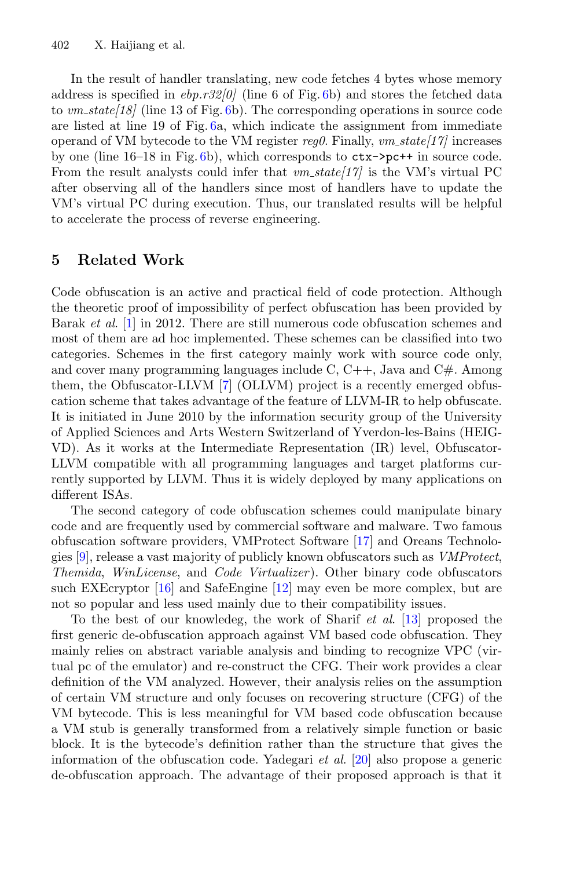In the result of handler translating, new code fetches 4 bytes whose memory address is specified in *ebp.r32[0]* (line 6 of Fig. [6b](#page-14-0)) and stores the fetched data to *vm state[18]* (line 13 of Fig. [6b](#page-14-0)). The corresponding operations in source code are listed at line 19 of Fig. [6a](#page-14-0), which indicate the assignment from immediate operand of VM bytecode to the VM register *reg0*. Finally, *vm state[17]* increases by one (line 16–18 in Fig. [6b](#page-14-0)), which corresponds to ctx->pc++ in source code. From the result analysts could infer that *vm state[17]* is the VM's virtual PC after observing all of the handlers since most of handlers have to update the VM's virtual PC during execution. Thus, our translated results will be helpful to accelerate the process of reverse engineering.

## **5 Related Work**

Code obfuscation is an active and practical field of code protection. Although the theoretic proof of impossibility of perfect obfuscation has been provided by Barak *et al*. [\[1\]](#page-17-6) in 2012. There are still numerous code obfuscation schemes and most of them are ad hoc implemented. These schemes can be classified into two categories. Schemes in the first category mainly work with source code only, and cover many programming languages include C,  $C_{++}$ , Java and  $C_{+}$ . Among them, the Obfuscator-LLVM [\[7\]](#page-17-7) (OLLVM) project is a recently emerged obfuscation scheme that takes advantage of the feature of LLVM-IR to help obfuscate. It is initiated in June 2010 by the information security group of the University of Applied Sciences and Arts Western Switzerland of Yverdon-les-Bains (HEIG-VD). As it works at the Intermediate Representation (IR) level, Obfuscator-LLVM compatible with all programming languages and target platforms currently supported by LLVM. Thus it is widely deployed by many applications on different ISAs.

The second category of code obfuscation schemes could manipulate binary code and are frequently used by commercial software and malware. Two famous obfuscation software providers, VMProtect Software [\[17\]](#page-17-8) and Oreans Technologies [\[9\]](#page-17-9), release a vast majority of publicly known obfuscators such as *VMProtect*, *Themida*, *WinLicense*, and *Code Virtualizer* ). Other binary code obfuscators such EXEcryptor [\[16](#page-17-10)] and SafeEngine [\[12](#page-17-11)] may even be more complex, but are not so popular and less used mainly due to their compatibility issues.

To the best of our knowledeg, the work of Sharif *et al*. [\[13\]](#page-17-1) proposed the first generic de-obfuscation approach against VM based code obfuscation. They mainly relies on abstract variable analysis and binding to recognize VPC (virtual pc of the emulator) and re-construct the CFG. Their work provides a clear definition of the VM analyzed. However, their analysis relies on the assumption of certain VM structure and only focuses on recovering structure (CFG) of the VM bytecode. This is less meaningful for VM based code obfuscation because a VM stub is generally transformed from a relatively simple function or basic block. It is the bytecode's definition rather than the structure that gives the information of the obfuscation code. Yadegari *et al*. [\[20](#page-17-3)] also propose a generic de-obfuscation approach. The advantage of their proposed approach is that it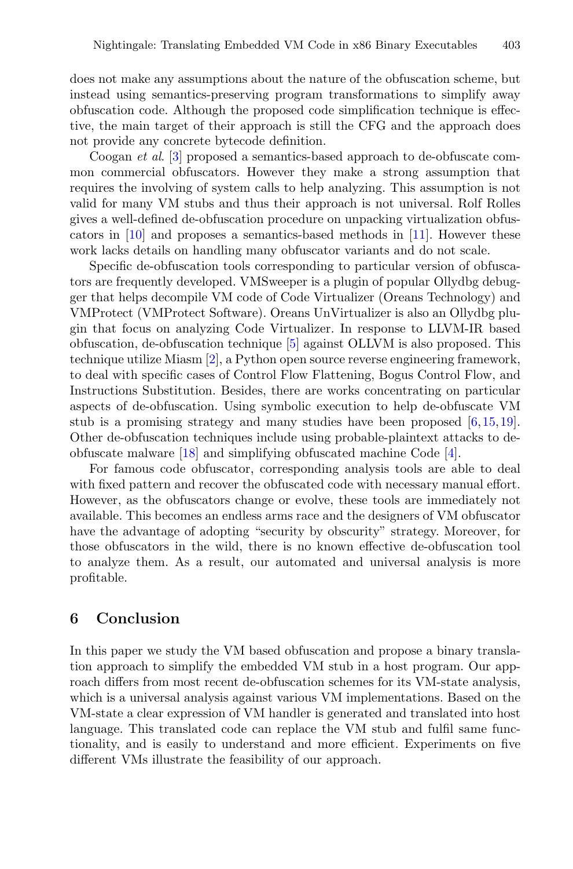does not make any assumptions about the nature of the obfuscation scheme, but instead using semantics-preserving program transformations to simplify away obfuscation code. Although the proposed code simplification technique is effective, the main target of their approach is still the CFG and the approach does not provide any concrete bytecode definition.

Coogan *et al*. [\[3](#page-17-0)] proposed a semantics-based approach to de-obfuscate common commercial obfuscators. However they make a strong assumption that requires the involving of system calls to help analyzing. This assumption is not valid for many VM stubs and thus their approach is not universal. Rolf Rolles gives a well-defined de-obfuscation procedure on unpacking virtualization obfuscators in [\[10\]](#page-17-12) and proposes a semantics-based methods in [\[11\]](#page-17-13). However these work lacks details on handling many obfuscator variants and do not scale.

Specific de-obfuscation tools corresponding to particular version of obfuscators are frequently developed. VMSweeper is a plugin of popular Ollydbg debugger that helps decompile VM code of Code Virtualizer (Oreans Technology) and VMProtect (VMProtect Software). Oreans UnVirtualizer is also an Ollydbg plugin that focus on analyzing Code Virtualizer. In response to LLVM-IR based obfuscation, de-obfuscation technique [\[5](#page-17-14)] against OLLVM is also proposed. This technique utilize Miasm [\[2](#page-17-15)], a Python open source reverse engineering framework, to deal with specific cases of Control Flow Flattening, Bogus Control Flow, and Instructions Substitution. Besides, there are works concentrating on particular aspects of de-obfuscation. Using symbolic execution to help de-obfuscate VM stub is a promising strategy and many studies have been proposed [\[6](#page-17-16)[,15](#page-17-17),[19\]](#page-17-2). Other de-obfuscation techniques include using probable-plaintext attacks to deobfuscate malware [\[18\]](#page-17-18) and simplifying obfuscated machine Code [\[4](#page-17-19)].

For famous code obfuscator, corresponding analysis tools are able to deal with fixed pattern and recover the obfuscated code with necessary manual effort. However, as the obfuscators change or evolve, these tools are immediately not available. This becomes an endless arms race and the designers of VM obfuscator have the advantage of adopting "security by obscurity" strategy. Moreover, for those obfuscators in the wild, there is no known effective de-obfuscation tool to analyze them. As a result, our automated and universal analysis is more profitable.

### **6 Conclusion**

In this paper we study the VM based obfuscation and propose a binary translation approach to simplify the embedded VM stub in a host program. Our approach differs from most recent de-obfuscation schemes for its VM-state analysis, which is a universal analysis against various VM implementations. Based on the VM-state a clear expression of VM handler is generated and translated into host language. This translated code can replace the VM stub and fulfil same functionality, and is easily to understand and more efficient. Experiments on five different VMs illustrate the feasibility of our approach.